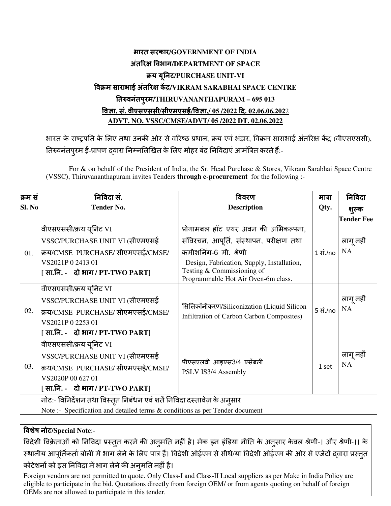## भारत सरकार**/GOVERNMENT OF INDIA** अंत र वभाग**/DEPARTMENT OF SPACE** य यनट ू **/PURCHASE UNIT-VI** विक्रम साराभाई अतरिक्ष केंद्र/VIKRAM SARABHAI SPACE CENTRE तवनंतपरमु **/THIRUVANANTHAPURAM – 695 013** वा**.** सं**.** वीएसएससी**/**सीएमएसई**/**वा**./ 05 /2022** द**. 02.06.06.202**2 **ADVT. NO. VSSC/CMSE/ADVT/ 05 /2022 DT. 02.06.2022**

भारत के राष्ट्रपति के लिए तथा उनकी ओर से वरिष्ठ प्रधान, क्रय एवं भड़ार, विक्रम साराभाई अंतरिक्ष केंद्र (वीएसएससी), तिरुवनंतपुरम ई-प्रापण द्वारा निम्नलिखित के लिए मोहर बंद निविदाए आर्मात्रेत करते हैं:-

For & on behalf of the President of India, the Sr. Head Purchase & Stores, Vikram Sarabhai Space Centre (VSSC), Thiruvananthapuram invites Tenders **through e-procurement** for the following :-

| क्रम सं | निविदा सं.                                                                   | विवरण                                                                                   | मात्रा                       | निविदा            |
|---------|------------------------------------------------------------------------------|-----------------------------------------------------------------------------------------|------------------------------|-------------------|
| Sl. No  | <b>Tender No.</b>                                                            | <b>Description</b>                                                                      | Qty.                         | शुल्क             |
|         |                                                                              |                                                                                         |                              | <b>Tender Fee</b> |
| 01.     | वीएसएससी/क्रय यूनिट VI                                                       | प्रोगामबल हॉट एयर अवन की अभिकल्पना,                                                     |                              |                   |
|         | VSSC/PURCHASE UNIT VI (सीएमएसई                                               | संविरचन, आपूर्ति, संस्थापन, परीक्षण तथा                                                 |                              | लागू नहीं         |
|         | क्रय/CMSE PURCHASE/ सीएमएसई/CMSE/                                            | कमीशनिंग-6 मी. श्रेणी                                                                   | $1 \overline{\text{H}}$ ./no | <b>NA</b>         |
|         | VS2021P 0 2413 01                                                            | Design, Fabrication, Supply, Installation,                                              |                              |                   |
|         | [ सा.नि. - ) दो भाग / PT-TWO PART]                                           | Testing $&$ Commissioning of<br>Programmable Hot Air Oven-6m class.                     |                              |                   |
| 02.     | वीएसएससी/क्रय यूनिट VI                                                       |                                                                                         |                              |                   |
|         | VSSC/PURCHASE UNIT VI (सीएमएसई                                               |                                                                                         |                              | लागू नहीं         |
|         | क्रय/CMSE PURCHASE/ सीएमएसई/CMSE/                                            | सिलिकॉनीकरण/Siliconization (Liquid Silicon<br>Infiltration of Carbon Carbon Composites) | 5 सं./no                     | <b>NA</b>         |
|         | VS2021P0225301                                                               |                                                                                         |                              |                   |
|         | [सा.नि. - दो भाग / PT-TWO PART]                                              |                                                                                         |                              |                   |
|         | वीएसएससी/क्रय यूनिट VI                                                       |                                                                                         |                              |                   |
|         | VSSC/PURCHASE UNIT VI (सीएमएसई                                               |                                                                                         | 1 set                        | लागू नहीं         |
| 03.     | क्रय/CMSE PURCHASE/ सीएमएसई/CMSE/                                            | पीएसएलवी आइएस3/4 एसेंबली<br>PSLV IS3/4 Assembly                                         |                              | NA                |
|         | VS2020P 00 627 01                                                            |                                                                                         |                              |                   |
|         | [ सा.नि. - ) दो भाग / PT-TWO PART]                                           |                                                                                         |                              |                   |
|         | नोट:- विनिर्देशन तथा विस्तृत निबंधन एवं शर्तें निविदा दस्तावेज़ के अनुसार    |                                                                                         |                              |                   |
|         | Note :- Specification and detailed terms & conditions as per Tender document |                                                                                         |                              |                   |

वशेष नोट**/Special Note**:-

विदेशी विक्रेताओं को निविदा प्रस्तुत करने की अनुमति नहीं है। मेक इन इंडिया नीति के अनुसार केवल श्रेणी-। और श्रेणी-।। के स्थानीय आपूर्तिकतो बोली में भाग लेने के लिए पात्र है। विदेशी ओईएम से सीधे/या विदेशी ओईएम की ओर से एजेटो द्वारा प्रस्तुत

कोटेशनों को इस निविदा में भाग लेने की अनुमति नहीं है।

Foreign vendors are not permitted to quote. Only Class-I and Class-II Local suppliers as per Make in India Policy are eligible to participate in the bid. Quotations directly from foreign OEM/ or from agents quoting on behalf of foreign OEMs are not allowed to participate in this tender.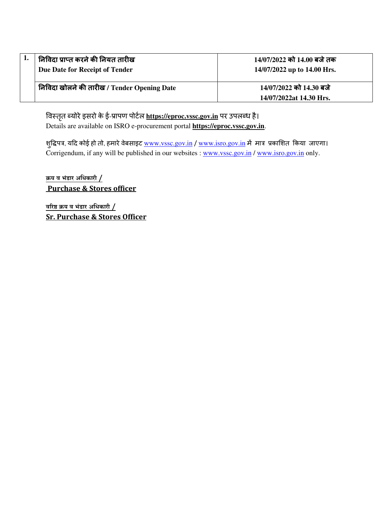| निविदा प्राप्त करने की नियत तारीख<br>Due Date for Receipt of Tender | 14/07/2022 को 14.00 बजे तक<br>14/07/2022 up to 14.00 Hrs. |
|---------------------------------------------------------------------|-----------------------------------------------------------|
| निविदा खोलने की तारीख / Tender Opening Date                         | 14/07/2022 को 14.30 बजे                                   |
|                                                                     | 14/07/2022at 14.30 Hrs.                                   |

विस्तृत ब्योरे इसरो के ई-प्रापण पोर्टल **https://eproc.vssc.gov.in** पर उपलब्ध है। Details are available on ISRO e-procurement portal **https://eproc.vssc.gov.in**.

शुद्धिपत्र, यदि कोई हो तो, हमारे वेबसाइट <u>www.vssc.gov.in</u> / <u>www.isro.gov.in</u> में मात्र प्रकाशित किया जाएगा। Corrigendum, if any will be published in our websites : www.vssc.gov.in / www.isro.gov.in only.

क्रय व भंडार अधिकारी  $/$ Purchase & Stores officer

<u>वरिष्ठ क्रय व भंडार अधिकारी /</u> Sr. Purchase & Stores Officer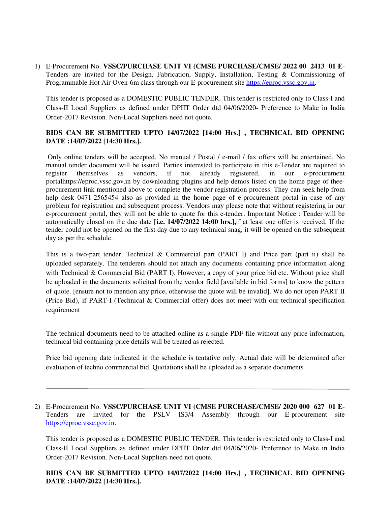1) E-Procurement No. **VSSC/PURCHASE UNIT VI (CMSE PURCHASE/CMSE/ 2022 00 2413 01 E**-Tenders are invited for the Design, Fabrication, Supply, Installation, Testing & Commissioning of Programmable Hot Air Oven-6m class through our E-procurement site https://eproc.vssc.gov.in.

This tender is proposed as a DOMESTIC PUBLIC TENDER. This tender is restricted only to Class-I and Class-II Local Suppliers as defined under DPIIT Order dtd 04/06/2020- Preference to Make in India Order-2017 Revision. Non-Local Suppliers need not quote.

## **BIDS CAN BE SUBMITTED UPTO 14/07/2022 [14:00 Hrs.] , TECHNICAL BID OPENING DATE :14/07/2022 [14:30 Hrs.].**

 Only online tenders will be accepted. No manual / Postal / e-mail / fax offers will be entertained. No manual tender document will be issued. Parties interested to participate in this e-Tender are required to register themselves as vendors, if not already registered, in our e-procurement portalhttps://eproc.vssc.gov.in by downloading plugins and help demos listed on the home page of theeprocurement link mentioned above to complete the vendor registration process. They can seek help from help desk 0471-2565454 also as provided in the home page of e-procurement portal in case of any problem for registration and subsequent process. Vendors may please note that without registering in our e-procurement portal, they will not be able to quote for this e-tender. Important Notice : Tender will be automatically closed on the due date **[i.e. 14/07/2022 14:00 hrs.],**if at least one offer is received. If the tender could not be opened on the first day due to any technical snag, it will be opened on the subsequent day as per the schedule.

This is a two-part tender, Technical & Commercial part (PART I) and Price part (part ii) shall be uploaded separately. The tenderers should not attach any documents containing price information along with Technical & Commercial Bid (PART I). However, a copy of your price bid etc. Without price shall be uploaded in the documents solicited from the vendor field [available in bid forms] to know the pattern of quote. [ensure not to mention any price, otherwise the quote will be invalid]. We do not open PART II (Price Bid), if PART-I (Technical & Commercial offer) does not meet with our technical specification requirement

The technical documents need to be attached online as a single PDF file without any price information, technical bid containing price details will be treated as rejected.

Price bid opening date indicated in the schedule is tentative only. Actual date will be determined after evaluation of techno commercial bid. Quotations shall be uploaded as a separate documents

2) E-Procurement No. **VSSC/PURCHASE UNIT VI (CMSE PURCHASE/CMSE/ 2020 000 627 01 E**-Tenders are invited for the PSLV IS3/4 Assembly through our E-procurement site https://eproc.vssc.gov.in.

This tender is proposed as a DOMESTIC PUBLIC TENDER. This tender is restricted only to Class-I and Class-II Local Suppliers as defined under DPIIT Order dtd 04/06/2020- Preference to Make in India Order-2017 Revision. Non-Local Suppliers need not quote.

**BIDS CAN BE SUBMITTED UPTO 14/07/2022 [14:00 Hrs.] , TECHNICAL BID OPENING DATE :14/07/2022 [14:30 Hrs.].**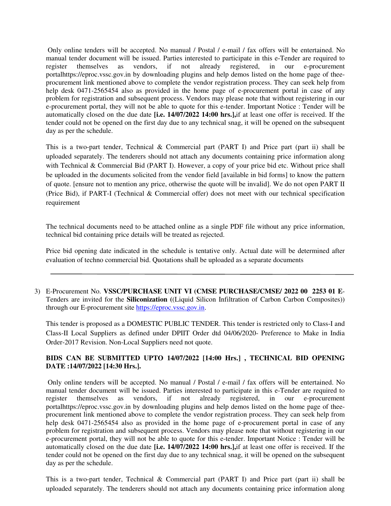Only online tenders will be accepted. No manual / Postal / e-mail / fax offers will be entertained. No manual tender document will be issued. Parties interested to participate in this e-Tender are required to register themselves as vendors, if not already registered, in our e-procurement portalhttps://eproc.vssc.gov.in by downloading plugins and help demos listed on the home page of theeprocurement link mentioned above to complete the vendor registration process. They can seek help from help desk 0471-2565454 also as provided in the home page of e-procurement portal in case of any problem for registration and subsequent process. Vendors may please note that without registering in our e-procurement portal, they will not be able to quote for this e-tender. Important Notice : Tender will be automatically closed on the due date **[i.e. 14/07/2022 14:00 hrs.],**if at least one offer is received. If the tender could not be opened on the first day due to any technical snag, it will be opened on the subsequent day as per the schedule.

This is a two-part tender, Technical & Commercial part (PART I) and Price part (part ii) shall be uploaded separately. The tenderers should not attach any documents containing price information along with Technical & Commercial Bid (PART I). However, a copy of your price bid etc. Without price shall be uploaded in the documents solicited from the vendor field [available in bid forms] to know the pattern of quote. [ensure not to mention any price, otherwise the quote will be invalid]. We do not open PART II (Price Bid), if PART-I (Technical & Commercial offer) does not meet with our technical specification requirement

The technical documents need to be attached online as a single PDF file without any price information, technical bid containing price details will be treated as rejected.

Price bid opening date indicated in the schedule is tentative only. Actual date will be determined after evaluation of techno commercial bid. Quotations shall be uploaded as a separate documents

3) E-Procurement No. **VSSC/PURCHASE UNIT VI (CMSE PURCHASE/CMSE/ 2022 00 2253 01 E**-Tenders are invited for the **Siliconization (**(Liquid Silicon Infiltration of Carbon Carbon Composites)) through our E-procurement site https://eproc.vssc.gov.in.

This tender is proposed as a DOMESTIC PUBLIC TENDER. This tender is restricted only to Class-I and Class-II Local Suppliers as defined under DPIIT Order dtd 04/06/2020- Preference to Make in India Order-2017 Revision. Non-Local Suppliers need not quote.

## **BIDS CAN BE SUBMITTED UPTO 14/07/2022 [14:00 Hrs.] , TECHNICAL BID OPENING DATE :14/07/2022 [14:30 Hrs.].**

 Only online tenders will be accepted. No manual / Postal / e-mail / fax offers will be entertained. No manual tender document will be issued. Parties interested to participate in this e-Tender are required to register themselves as vendors, if not already registered, in our e-procurement register themselves as vendors, if not already registered, in our e-procurement portalhttps://eproc.vssc.gov.in by downloading plugins and help demos listed on the home page of theeprocurement link mentioned above to complete the vendor registration process. They can seek help from help desk 0471-2565454 also as provided in the home page of e-procurement portal in case of any problem for registration and subsequent process. Vendors may please note that without registering in our e-procurement portal, they will not be able to quote for this e-tender. Important Notice : Tender will be automatically closed on the due date **[i.e. 14/07/2022 14:00 hrs.],**if at least one offer is received. If the tender could not be opened on the first day due to any technical snag, it will be opened on the subsequent day as per the schedule.

This is a two-part tender, Technical & Commercial part (PART I) and Price part (part ii) shall be uploaded separately. The tenderers should not attach any documents containing price information along